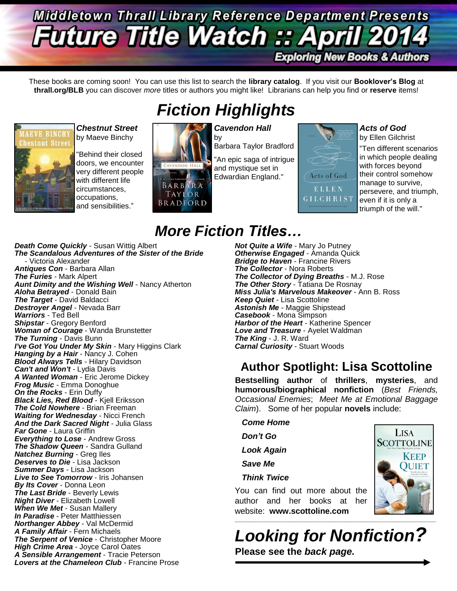## **Middletown Thrall Library Reference Department Presents Future Title Watch :: Apri Exploring New Books & Authors**

These books are coming soon! You can use this list to search the **library catalog**. If you visit our **Booklover's Blog** at **thrall.org/BLB** you can discover *more* titles or authors you might like! Librarians can help you find or **reserve** items!

*Fiction Highlights*



**IAEVE BINCHY** 

*Chestnut Street* by Maeve Binchy

"Behind their closed doors, we encounter very different people with different life circumstances, occupations, and sensibilities."



*Cavendon Hall*

Barbara Taylor Bradford

"An epic saga of intrigue and mystique set in Edwardian England."

Acts of God ELLEN **GILCHRIST** 

### *Acts of God*

by Ellen Gilchrist "Ten different scenarios in which people dealing with forces beyond their control somehow manage to survive, persevere, and triumph, even if it is only a triumph of the will."

## *More Fiction Titles…*

*Death Come Quickly* - Susan Wittig Albert *The Scandalous Adventures of the Sister of the Bride* - Victoria Alexander *Antiques Con* - Barbara Allan *The Furies* - Mark Alpert *Aunt Dimity and the Wishing Well* - Nancy Atherton *Aloha Betrayed* - Donald Bain *The Target* - David Baldacci *Destroyer Angel* - Nevada Barr *Warriors* - Ted Bell *Shipstar* - Gregory Benford *Woman of Courage* - Wanda Brunstetter *The Turning* - Davis Bunn *I've Got You Under My Skin* - Mary Higgins Clark *Hanging by a Hair* - Nancy J. Cohen *Blood Always Tells* - Hilary Davidson *Can't and Won't* - Lydia Davis *A Wanted Woman* - Eric Jerome Dickey *Frog Music* - Emma Donoghue *On the Rocks* - Erin Duffy *Black Lies, Red Blood* - Kjell Eriksson *The Cold Nowhere* - Brian Freeman *Waiting for Wednesday* - Nicci French *And the Dark Sacred Night* - Julia Glass *Far Gone* - Laura Griffin *Everything to Lose* - Andrew Gross *The Shadow Queen* - Sandra Gulland *Natchez Burning* - Greg Iles *Deserves to Die* - Lisa Jackson *Summer Days* - Lisa Jackson *Live to See Tomorrow* - Iris Johansen *By Its Cover* - Donna Leon *The Last Bride* - Beverly Lewis *Night Diver* - Elizabeth Lowell *When We Met* - Susan Mallery *In Paradise* - Peter Matthiessen *Northanger Abbey* - Val McDermid *A Family Affair* - Fern Michaels *The Serpent of Venice* - Christopher Moore *High Crime Area* - Joyce Carol Oates *A Sensible Arrangement* - Tracie Peterson *Lovers at the Chameleon Club* - Francine Prose

*Not Quite a Wife* - Mary Jo Putney *Otherwise Engaged* - Amanda Quick *Bridge to Haven* - Francine Rivers *The Collector* - Nora Roberts *The Collector of Dying Breaths* - M.J. Rose *The Other Story* - Tatiana De Rosnay *Miss Julia's Marvelous Makeover* - Ann B. Ross *Keep Quiet* - Lisa Scottoline *Astonish Me* - Maggie Shipstead *Casebook* - Mona Simpson *Harbor of the Heart* - Katherine Spencer *Love and Treasure* - Ayelet Waldman *The King* - J. R. Ward *Carnal Curiosity* - Stuart Woods

### **Author Spotlight: Lisa Scottoline**

**Bestselling author** of **thrillers**, **mysteries**, and **humorous/biographical nonfiction** (*Best Friends, Occasional Enemies*; *Meet Me at Emotional Baggage Claim*). Some of her popular **novels** include:

*Come Home*

*Don't Go*

*Look Again*

*Save Me*

*Think Twice*

You can find out more about the author and her books at her website: **www.scottoline.com**

*Looking for Nonfiction?* **Please see the** *back page.*